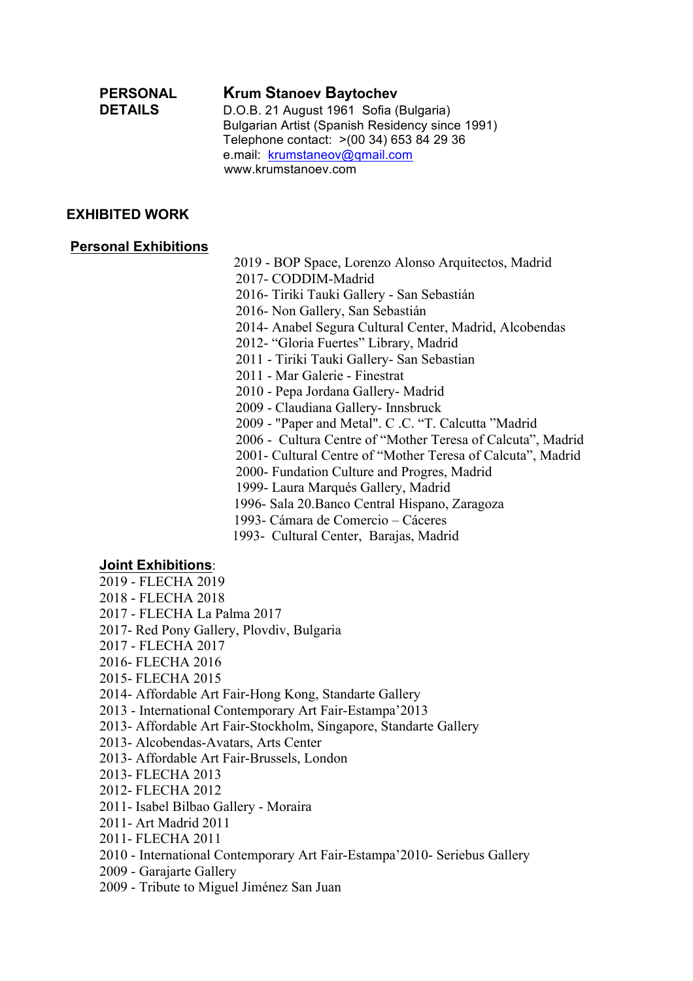# **PERSONAL Krum Stanoev Baytochev**

**DETAILS** D.O.B. 21 August 1961 Sofia (Bulgaria) Bulgarian Artist (Spanish Residency since 1991) Telephone contact: >(00 34) 653 84 29 36 e.mail: krumstaneov@qmail.com www.krumstanoev.com

# **EXHIBITED WORK**

### **Personal Exhibitions**

 2019 - BOP Space, Lorenzo Alonso Arquitectos, Madrid 2017- CODDIM-Madrid

2016- Tiriki Tauki Gallery - San Sebastián

2016- Non Gallery, San Sebastián

2014- Anabel Segura Cultural Center, Madrid, Alcobendas

2012- "Gloria Fuertes" Library, Madrid

2011 - Tiriki Tauki Gallery- San Sebastian

2011 - Mar Galerie - Finestrat

2010 - Pepa Jordana Gallery- Madrid

2009 - Claudiana Gallery- Innsbruck

2009 - "Paper and Metal". C .C. "T. Calcutta "Madrid

2006 - Cultura Centre of "Mother Teresa of Calcuta", Madrid

2001- Cultural Centre of "Mother Teresa of Calcuta", Madrid

2000- Fundation Culture and Progres, Madrid

1999- Laura Marqués Gallery, Madrid

1996- Sala 20.Banco Central Hispano, Zaragoza

1993- Cámara de Comercio – Cáceres

1993- Cultural Center, Barajas, Madrid

# **Joint Exhibitions**:

- 2019 FLECHA 2019
- 2018 FLECHA 2018
- 2017 FLECHA La Palma 2017
- 2017- Red Pony Gallery, Plovdiv, Bulgaria
- 2017 FLECHA 2017
- 2016- FLECHA 2016
- 2015- FLECHA 2015

2014- Affordable Art Fair-Hong Kong, Standarte Gallery

2013 - International Contemporary Art Fair-Estampa'2013

2013- Affordable Art Fair-Stockholm, Singapore, Standarte Gallery

2013- Alcobendas-Avatars, Arts Center

- 2013- Affordable Art Fair-Brussels, London
- 2013- FLECHA 2013
- 2012- FLECHA 2012
- 2011- Isabel Bilbao Gallery Moraira
- 2011- Art Madrid 2011
- 2011- FLECHA 2011
- 2010 International Contemporary Art Fair-Estampa'2010- Seriebus Gallery
- 2009 Garajarte Gallery
- 2009 Tribute to Miguel Jiménez San Juan